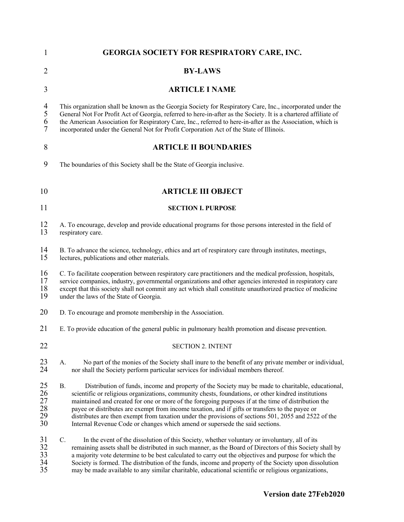| 1                                          | <b>GEORGIA SOCIETY FOR RESPIRATORY CARE, INC.</b>                                                                                                                                                                                                                                                                                                                                                                                                                                                                                                                                                                       |  |  |
|--------------------------------------------|-------------------------------------------------------------------------------------------------------------------------------------------------------------------------------------------------------------------------------------------------------------------------------------------------------------------------------------------------------------------------------------------------------------------------------------------------------------------------------------------------------------------------------------------------------------------------------------------------------------------------|--|--|
| 2                                          | <b>BY-LAWS</b>                                                                                                                                                                                                                                                                                                                                                                                                                                                                                                                                                                                                          |  |  |
| 3                                          | <b>ARTICLE I NAME</b>                                                                                                                                                                                                                                                                                                                                                                                                                                                                                                                                                                                                   |  |  |
| $\overline{4}$<br>$\mathfrak{S}$<br>6<br>7 | This organization shall be known as the Georgia Society for Respiratory Care, Inc., incorporated under the<br>General Not For Profit Act of Georgia, referred to here-in-after as the Society. It is a chartered affiliate of<br>the American Association for Respiratory Care, Inc., referred to here-in-after as the Association, which is<br>incorporated under the General Not for Profit Corporation Act of the State of Illinois.                                                                                                                                                                                 |  |  |
| 8                                          | <b>ARTICLE II BOUNDARIES</b>                                                                                                                                                                                                                                                                                                                                                                                                                                                                                                                                                                                            |  |  |
| 9                                          | The boundaries of this Society shall be the State of Georgia inclusive.                                                                                                                                                                                                                                                                                                                                                                                                                                                                                                                                                 |  |  |
| 10                                         | <b>ARTICLE III OBJECT</b>                                                                                                                                                                                                                                                                                                                                                                                                                                                                                                                                                                                               |  |  |
| 11                                         | <b>SECTION I. PURPOSE</b>                                                                                                                                                                                                                                                                                                                                                                                                                                                                                                                                                                                               |  |  |
| 12<br>13                                   | A. To encourage, develop and provide educational programs for those persons interested in the field of<br>respiratory care.                                                                                                                                                                                                                                                                                                                                                                                                                                                                                             |  |  |
| 14<br>15                                   | B. To advance the science, technology, ethics and art of respiratory care through institutes, meetings,<br>lectures, publications and other materials.                                                                                                                                                                                                                                                                                                                                                                                                                                                                  |  |  |
| 16<br>17<br>18<br>19                       | C. To facilitate cooperation between respiratory care practitioners and the medical profession, hospitals,<br>service companies, industry, governmental organizations and other agencies interested in respiratory care<br>except that this society shall not commit any act which shall constitute unauthorized practice of medicine<br>under the laws of the State of Georgia.                                                                                                                                                                                                                                        |  |  |
| 20                                         | D. To encourage and promote membership in the Association.                                                                                                                                                                                                                                                                                                                                                                                                                                                                                                                                                              |  |  |
| 21                                         | E. To provide education of the general public in pulmonary health promotion and disease prevention.                                                                                                                                                                                                                                                                                                                                                                                                                                                                                                                     |  |  |
| 22                                         | <b>SECTION 2. INTENT</b>                                                                                                                                                                                                                                                                                                                                                                                                                                                                                                                                                                                                |  |  |
| 23<br>24                                   | No part of the monies of the Society shall inure to the benefit of any private member or individual,<br>A.<br>nor shall the Society perform particular services for individual members thereof.                                                                                                                                                                                                                                                                                                                                                                                                                         |  |  |
| 25<br>26<br>27<br>28<br>29<br>30           | Distribution of funds, income and property of the Society may be made to charitable, educational,<br><b>B.</b><br>scientific or religious organizations, community chests, foundations, or other kindred institutions<br>maintained and created for one or more of the foregoing purposes if at the time of distribution the<br>payee or distributes are exempt from income taxation, and if gifts or transfers to the payee or<br>distributes are then exempt from taxation under the provisions of sections 501, 2055 and 2522 of the<br>Internal Revenue Code or changes which amend or supersede the said sections. |  |  |
| 31<br>32<br>33<br>34<br>35                 | C.<br>In the event of the dissolution of this Society, whether voluntary or involuntary, all of its<br>remaining assets shall be distributed in such manner, as the Board of Directors of this Society shall by<br>a majority vote determine to be best calculated to carry out the objectives and purpose for which the<br>Society is formed. The distribution of the funds, income and property of the Society upon dissolution<br>may be made available to any similar charitable, educational scientific or religious organizations,                                                                                |  |  |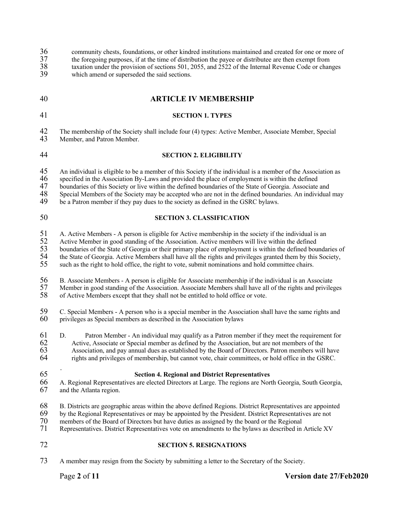36 community chests, foundations, or other kindred institutions maintained and created for one or more of  $\frac{37}{100}$  the foregoing purposes, if at the time of distribution the paye or distribute are then exempt from 37 the foregoing purposes, if at the time of distribution the payee or distributee are then exempt from<br>38 taxation under the provision of sections 501, 2055, and 2522 of the Internal Revenue Code or chan 38 taxation under the provision of sections 501, 2055, and 2522 of the Internal Revenue Code or changes<br>39 which amend or superseded the said sections which amend or superseded the said sections. 40 **ARTICLE IV MEMBERSHIP** 41 **SECTION 1. TYPES** 42 The membership of the Society shall include four (4) types: Active Member, Associate Member, Special 43 Member, and Patron Member. Member, and Patron Member. 44 **SECTION 2. ELIGIBILITY** 45 An individual is eligible to be a member of this Society if the individual is a member of the Association as<br>46 specified in the Association By-Laws and provided the place of employment is within the defined 46 specified in the Association By-Laws and provided the place of employment is within the defined<br>47 boundaries of this Society or live within the defined boundaries of the State of Georgia. Associate 47 boundaries of this Society or live within the defined boundaries of the State of Georgia. Associate and 48 Special Members of the Society may be accepted who are not in the defined boundaries. An individual 48 Special Members of the Society may be accepted who are not in the defined boundaries. An individual may be a Patron member if they pay dues to the society as defined in the GSRC bylaws. be a Patron member if they pay dues to the society as defined in the GSRC bylaws. 50 **SECTION 3. CLASSIFICATION** 51 A. Active Members - A person is eligible for Active membership in the society if the individual is an Active Member in good standing of the Association. Active members will live within the defined 52 Active Member in good standing of the Association. Active members will live within the defined<br>53 boundaries of the State of Georgia or their primary place of employment is within the defined bou 53 boundaries of the State of Georgia or their primary place of employment is within the defined boundaries of<br>54 the State of Georgia. Active Members shall have all the rights and privileges granted them by this Society, 54 the State of Georgia. Active Members shall have all the rights and privileges granted them by this Society,<br>55 such as the right to hold office, the right to vote, submit nominations and hold committee chairs. such as the right to hold office, the right to vote, submit nominations and hold committee chairs. 56 B. Associate Members - A person is eligible for Associate membership if the individual is an Associate<br>57 Member in good standing of the Association. Associate Members shall have all of the rights and privile 57 Member in good standing of the Association. Associate Members shall have all of the rights and privileges 58 of Active Members except that they shall not be entitled to hold office or vote. of Active Members except that they shall not be entitled to hold office or vote. 59 C. Special Members - A person who is a special member in the Association shall have the same rights and 60 privileges as Special members as described in the Association bylaws privileges as Special members as described in the Association bylaws 61 D. Patron Member - An individual may qualify as a Patron member if they meet the requirement for 62 Active. Associate or Special member as defined by the Association, but are not members of the 62 Active, Associate or Special member as defined by the Association, but are not members of the 63 Association, and pay annual dues as established by the Board of Directors. Patron members will 63 Association, and pay annual dues as established by the Board of Directors. Patron members will have<br>64 rights and privileges of membership, but cannot vote, chair committees, or hold office in the GSRC. rights and privileges of membership, but cannot vote, chair committees, or hold office in the GSRC. 65 **Section 4. Regional and District Representatives** 66 A. Regional Representatives are elected Directors at Large. The regions are North Georgia, South Georgia, and the Atlanta region. 68 B. Districts are geographic areas within the above defined Regions. District Representatives are appointed by the Regional Representatives or may be appointed by the President. District Representatives are not 69 by the Regional Representatives or may be appointed by the President. District Representatives are not members of the Board of Directors but have duties as assigned by the board or the Regional 70 members of the Board of Directors but have duties as assigned by the board or the Regional<br>71 Representatives. District Representatives vote on amendments to the bylaws as described in Representatives. District Representatives vote on amendments to the bylaws as described in Article XV 72 **SECTION 5. RESIGNATIONS** 73 A member may resign from the Society by submitting a letter to the Secretary of the Society.

# Page **2** of **11 Version date 27/Feb2020**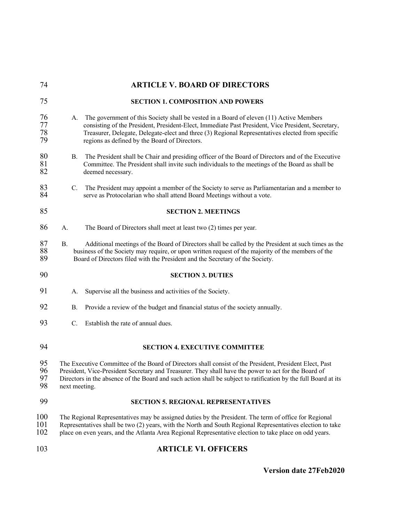| 74                   | <b>ARTICLE V. BOARD OF DIRECTORS</b>                                                                                                                                                                                                                                                                                                                     |  |  |
|----------------------|----------------------------------------------------------------------------------------------------------------------------------------------------------------------------------------------------------------------------------------------------------------------------------------------------------------------------------------------------------|--|--|
| 75                   | <b>SECTION 1. COMPOSITION AND POWERS</b>                                                                                                                                                                                                                                                                                                                 |  |  |
| 76<br>77<br>78<br>79 | The government of this Society shall be vested in a Board of eleven (11) Active Members<br>А.<br>consisting of the President, President-Elect, Immediate Past President, Vice President, Secretary,<br>Treasurer, Delegate, Delegate-elect and three (3) Regional Representatives elected from specific<br>regions as defined by the Board of Directors. |  |  |
| 80<br>81<br>82       | B.<br>The President shall be Chair and presiding officer of the Board of Directors and of the Executive<br>Committee. The President shall invite such individuals to the meetings of the Board as shall be<br>deemed necessary.                                                                                                                          |  |  |
| 83<br>84             | $C_{\cdot}$<br>The President may appoint a member of the Society to serve as Parliamentarian and a member to<br>serve as Protocolarian who shall attend Board Meetings without a vote.                                                                                                                                                                   |  |  |
| 85                   | <b>SECTION 2. MEETINGS</b>                                                                                                                                                                                                                                                                                                                               |  |  |
| 86                   | The Board of Directors shall meet at least two (2) times per year.<br>A.                                                                                                                                                                                                                                                                                 |  |  |
| 87<br>88<br>89       | <b>B.</b><br>Additional meetings of the Board of Directors shall be called by the President at such times as the<br>business of the Society may require, or upon written request of the majority of the members of the<br>Board of Directors filed with the President and the Secretary of the Society.                                                  |  |  |
| 90                   | <b>SECTION 3. DUTIES</b>                                                                                                                                                                                                                                                                                                                                 |  |  |
| 91                   | Supervise all the business and activities of the Society.<br>A.                                                                                                                                                                                                                                                                                          |  |  |
| 92                   | Provide a review of the budget and financial status of the society annually.<br><b>B.</b>                                                                                                                                                                                                                                                                |  |  |
| 93                   | C.<br>Establish the rate of annual dues.                                                                                                                                                                                                                                                                                                                 |  |  |
| 94                   | <b>SECTION 4. EXECUTIVE COMMITTEE</b>                                                                                                                                                                                                                                                                                                                    |  |  |
| 95<br>96<br>97<br>98 | The Executive Committee of the Board of Directors shall consist of the President, President Elect, Past<br>President, Vice-President Secretary and Treasurer. They shall have the power to act for the Board of<br>Directors in the absence of the Board and such action shall be subject to ratification by the full Board at its<br>next meeting.      |  |  |
| 99                   | <b>SECTION 5. REGIONAL REPRESENTATIVES</b>                                                                                                                                                                                                                                                                                                               |  |  |
| 100<br>101<br>102    | The Regional Representatives may be assigned duties by the President. The term of office for Regional<br>Representatives shall be two (2) years, with the North and South Regional Representatives election to take<br>place on even years, and the Atlanta Area Regional Representative election to take place on odd years.                            |  |  |
| 103                  | <b>ARTICLE VI. OFFICERS</b>                                                                                                                                                                                                                                                                                                                              |  |  |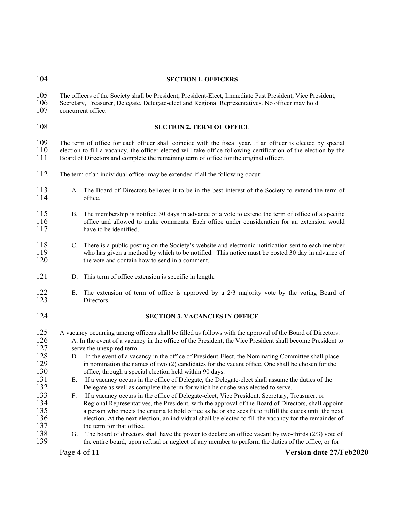|                                                                                                                                                                                                                                                                                                                           | <b>SECTION 1. OFFICERS</b>                                                                                                                                                                                                                                                                                                                                                                                                                                                                                                                                                                                                                                                                                                                                                                                                                                                                                                                                                                                                                                                                                                                                                                                                                                                           |  |
|---------------------------------------------------------------------------------------------------------------------------------------------------------------------------------------------------------------------------------------------------------------------------------------------------------------------------|--------------------------------------------------------------------------------------------------------------------------------------------------------------------------------------------------------------------------------------------------------------------------------------------------------------------------------------------------------------------------------------------------------------------------------------------------------------------------------------------------------------------------------------------------------------------------------------------------------------------------------------------------------------------------------------------------------------------------------------------------------------------------------------------------------------------------------------------------------------------------------------------------------------------------------------------------------------------------------------------------------------------------------------------------------------------------------------------------------------------------------------------------------------------------------------------------------------------------------------------------------------------------------------|--|
| The officers of the Society shall be President, President-Elect, Immediate Past President, Vice President,<br>Secretary, Treasurer, Delegate, Delegate-elect and Regional Representatives. No officer may hold<br>concurrent office.                                                                                      |                                                                                                                                                                                                                                                                                                                                                                                                                                                                                                                                                                                                                                                                                                                                                                                                                                                                                                                                                                                                                                                                                                                                                                                                                                                                                      |  |
|                                                                                                                                                                                                                                                                                                                           | <b>SECTION 2. TERM OF OFFICE</b>                                                                                                                                                                                                                                                                                                                                                                                                                                                                                                                                                                                                                                                                                                                                                                                                                                                                                                                                                                                                                                                                                                                                                                                                                                                     |  |
| The term of office for each officer shall coincide with the fiscal year. If an officer is elected by special<br>election to fill a vacancy, the officer elected will take office following certification of the election by the<br>Board of Directors and complete the remaining term of office for the original officer. |                                                                                                                                                                                                                                                                                                                                                                                                                                                                                                                                                                                                                                                                                                                                                                                                                                                                                                                                                                                                                                                                                                                                                                                                                                                                                      |  |
| The term of an individual officer may be extended if all the following occur:                                                                                                                                                                                                                                             |                                                                                                                                                                                                                                                                                                                                                                                                                                                                                                                                                                                                                                                                                                                                                                                                                                                                                                                                                                                                                                                                                                                                                                                                                                                                                      |  |
| A.                                                                                                                                                                                                                                                                                                                        | The Board of Directors believes it to be in the best interest of the Society to extend the term of<br>office.                                                                                                                                                                                                                                                                                                                                                                                                                                                                                                                                                                                                                                                                                                                                                                                                                                                                                                                                                                                                                                                                                                                                                                        |  |
| В.                                                                                                                                                                                                                                                                                                                        | The membership is notified 30 days in advance of a vote to extend the term of office of a specific<br>office and allowed to make comments. Each office under consideration for an extension would<br>have to be identified.                                                                                                                                                                                                                                                                                                                                                                                                                                                                                                                                                                                                                                                                                                                                                                                                                                                                                                                                                                                                                                                          |  |
| C.                                                                                                                                                                                                                                                                                                                        | There is a public posting on the Society's website and electronic notification sent to each member<br>who has given a method by which to be notified. This notice must be posted 30 day in advance of<br>the vote and contain how to send in a comment.                                                                                                                                                                                                                                                                                                                                                                                                                                                                                                                                                                                                                                                                                                                                                                                                                                                                                                                                                                                                                              |  |
| D.                                                                                                                                                                                                                                                                                                                        | This term of office extension is specific in length.                                                                                                                                                                                                                                                                                                                                                                                                                                                                                                                                                                                                                                                                                                                                                                                                                                                                                                                                                                                                                                                                                                                                                                                                                                 |  |
| Ε.                                                                                                                                                                                                                                                                                                                        | The extension of term of office is approved by a $2/3$ majority vote by the voting Board of<br>Directors.                                                                                                                                                                                                                                                                                                                                                                                                                                                                                                                                                                                                                                                                                                                                                                                                                                                                                                                                                                                                                                                                                                                                                                            |  |
|                                                                                                                                                                                                                                                                                                                           | <b>SECTION 3. VACANCIES IN OFFICE</b>                                                                                                                                                                                                                                                                                                                                                                                                                                                                                                                                                                                                                                                                                                                                                                                                                                                                                                                                                                                                                                                                                                                                                                                                                                                |  |
| D.<br>Е.<br>F.                                                                                                                                                                                                                                                                                                            | A vacancy occurring among officers shall be filled as follows with the approval of the Board of Directors:<br>A. In the event of a vacancy in the office of the President, the Vice President shall become President to<br>serve the unexpired term.<br>In the event of a vacancy in the office of President-Elect, the Nominating Committee shall place<br>in nomination the names of two (2) candidates for the vacant office. One shall be chosen for the<br>office, through a special election held within 90 days.<br>If a vacancy occurs in the office of Delegate, the Delegate-elect shall assume the duties of the<br>Delegate as well as complete the term for which he or she was elected to serve.<br>If a vacancy occurs in the office of Delegate-elect, Vice President, Secretary, Treasurer, or<br>Regional Representatives, the President, with the approval of the Board of Directors, shall appoint<br>a person who meets the criteria to hold office as he or she sees fit to fulfill the duties until the next<br>election. At the next election, an individual shall be elected to fill the vacancy for the remainder of<br>the term for that office.<br>The board of directors shall have the power to declare an office vacant by two-thirds $(2/3)$ vote of |  |
|                                                                                                                                                                                                                                                                                                                           | the entire board, upon refusal or neglect of any member to perform the duties of the office, or for<br><b>Version date 27/Feb2020</b>                                                                                                                                                                                                                                                                                                                                                                                                                                                                                                                                                                                                                                                                                                                                                                                                                                                                                                                                                                                                                                                                                                                                                |  |
|                                                                                                                                                                                                                                                                                                                           | G.<br>Page 4 of 11                                                                                                                                                                                                                                                                                                                                                                                                                                                                                                                                                                                                                                                                                                                                                                                                                                                                                                                                                                                                                                                                                                                                                                                                                                                                   |  |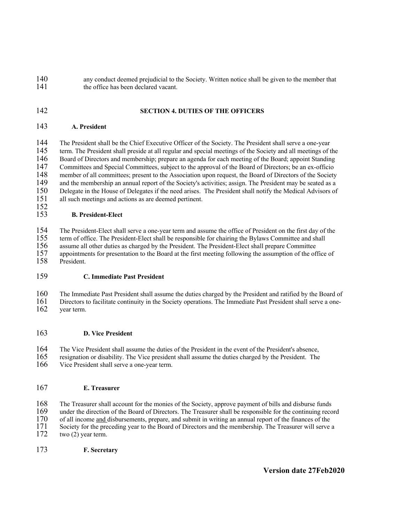- 140 any conduct deemed prejudicial to the Society. Written notice shall be given to the member that 141 the office has been declared vacant.
- 142 **SECTION 4. DUTIES OF THE OFFICERS**

#### 143 **A. President**

144 The President shall be the Chief Executive Officer of the Society. The President shall serve a one-year 145 term. The President shall preside at all regular and special meetings of the Society and all meetings of t term. The President shall preside at all regular and special meetings of the Society and all meetings of the Board of Directors and membership; prepare an agenda for each meeting of the Board; appoint Standing Committees and Special Committees, subject to the approval of the Board of Directors; be an ex-officio 148 member of all committees; present to the Association upon request, the Board of Directors of the Society<br>149 and the membership an annual report of the Society's activities: assign. The President may be seated as a 149 and the membership an annual report of the Society's activities; assign. The President may be seated as a 150 Delegate in the House of Delegates if the need arises. The President shall notify the Medical Advisors of Delegate in the House of Delegates if the need arises. The President shall notify the Medical Advisors of all such meetings and actions as are deemed pertinent.

#### $\frac{152}{153}$ 153 **B. President-Elect**

154 The President-Elect shall serve a one-year term and assume the office of President on the first day of the 155 term of office. The President-Elect shall be responsible for chairing the Bylaws Committee and shall 156 assume all other duties as charged by the President. The President-Elect shall prepare Committee 156 assume all other duties as charged by the President. The President-Elect shall prepare Committee appointments for presentation to the Board at the first meeting following the assumption of the of 157 appointments for presentation to the Board at the first meeting following the assumption of the office of 158 President. President.

## 159 **C. Immediate Past President**

160 The Immediate Past President shall assume the duties charged by the President and ratified by the Board of 161 Directors to facilitate continuity in the Society operations. The Immediate Past President shall serve a on 161 Directors to facilitate continuity in the Society operations. The Immediate Past President shall serve a one-<br>162 vear term.

vear term.

## 163 **D. Vice President**

164 The Vice President shall assume the duties of the President in the event of the President's absence,

165 resignation or disability. The Vice president shall assume the duties charged by the President. The Vice President shall serve a one-vear term. Vice President shall serve a one-year term.

## 167 **E. Treasurer**

168 The Treasurer shall account for the monies of the Society, approve payment of bills and disburse funds 169 under the direction of the Board of Directors. The Treasurer shall be responsible for the continuing reco 169 under the direction of the Board of Directors. The Treasurer shall be responsible for the continuing record

170 of all income and disbursements, prepare, and submit in writing an annual report of the finances of the

- 171 Society for the preceding year to the Board of Directors and the membership. The Treasurer will serve a two (2) year term.
- two  $(2)$  year term.
- 173 **F. Secretary**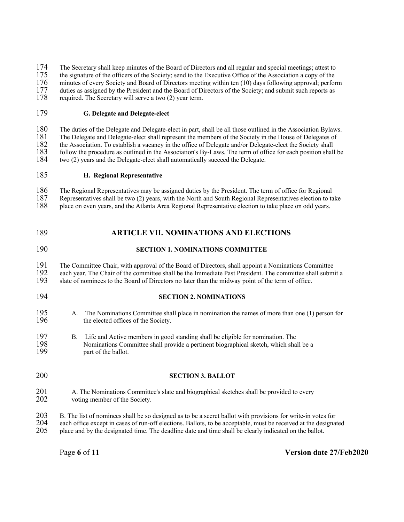174 The Secretary shall keep minutes of the Board of Directors and all regular and special meetings; attest to the signature of the officers of the Society; send to the Executive Office of the Association a copy of the

175 the signature of the officers of the Society; send to the Executive Office of the Association a copy of the 176 minutes of every Society and Board of Directors meeting within ten (10) days following approval; perfor

176 minutes of every Society and Board of Directors meeting within ten (10) days following approval; perform duties as assigned by the President and the Board of Directors of the Society; and submit such reports as

177 duties as assigned by the President and the Board of Directors of the Society; and submit such reports as required. The Secretary will serve a two (2) year term.

required. The Secretary will serve a two (2) year term.

# 179 **G. Delegate and Delegate-elect**

180 The duties of the Delegate and Delegate-elect in part, shall be all those outlined in the Association Bylaws.<br>181 The Delegate and Delegate-elect shall represent the members of the Society in the House of Delegates of 181 The Delegate and Delegate-elect shall represent the members of the Society in the House of Delegates of 182 the Association. To establish a vacancy in the office of Delegate and/or Delegate-elect the Society shall<br>183 follow the procedure as outlined in the Association's By-Laws. The term of office for each position shall

183 follow the procedure as outlined in the Association's By-Laws. The term of office for each position shall be two (2) years and the Delegate-elect shall automatically succeed the Delegate. two (2) years and the Delegate-elect shall automatically succeed the Delegate.

## 185 **H. Regional Representative**

186 The Regional Representatives may be assigned duties by the President. The term of office for Regional 187 Representatives shall be two (2) vears, with the North and South Regional Representatives election to ta 187 Representatives shall be two (2) years, with the North and South Regional Representatives election to take<br>188 place on even years, and the Atlanta Area Regional Representative election to take place on odd years. place on even years, and the Atlanta Area Regional Representative election to take place on odd years.

# 189 **ARTICLE VII. NOMINATIONS AND ELECTIONS**

## 190 **SECTION 1. NOMINATIONS COMMITTEE**

191 The Committee Chair, with approval of the Board of Directors, shall appoint a Nominations Committee<br>192 each vear. The Chair of the committee shall be the Immediate Past President. The committee shall subm 192 each year. The Chair of the committee shall be the Immediate Past President. The committee shall submit a slate of nominees to the Board of Directors no later than the midway point of the term of office.

- slate of nominees to the Board of Directors no later than the midway point of the term of office.
- 

## 194 **SECTION 2. NOMINATIONS**

- 195 A. The Nominations Committee shall place in nomination the names of more than one (1) person for 196 the elected offices of the Society the elected offices of the Society.
- 197 B. Life and Active members in good standing shall be eligible for nomination. The Nominations Committee shall provide a pertinent biographical sketch, which shall 198 Nominations Committee shall provide a pertinent biographical sketch, which shall be a 199 part of the ballot.
- 200 **SECTION 3. BALLOT**
- 201 A. The Nominations Committee's slate and biographical sketches shall be provided to every 202 voting member of the Society.
- 203 B. The list of nominees shall be so designed as to be a secret ballot with provisions for write-in votes for 204 each office except in cases of run-off elections. Ballots, to be acceptable, must be received at the designated 205 place and by the designated time. The deadline date and time shall be clearly indicated on the ballot. 205 place and by the designated time. The deadline date and time shall be clearly indicated on the ballot.

Page **6** of **11 Version date 27/Feb2020**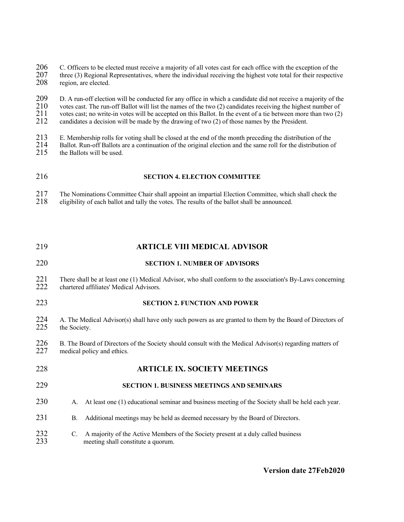206 C. Officers to be elected must receive a majority of all votes cast for each office with the exception of the 207 three (3) Regional Representatives, where the individual receiving the highest vote total for their resp 207 three (3) Regional Representatives, where the individual receiving the highest vote total for their respective region, are elected. region, are elected.

209 D. A run-off election will be conducted for any office in which a candidate did not receive a majority of the 210 votes cast. The run-off Ballot will list the names of the two (2) candidates receiving the highest numbe 210 votes cast. The run-off Ballot will list the names of the two (2) candidates receiving the highest number of 211 votes cast: no write-in votes will be accepted on this Ballot. In the event of a tie between more than tw 211 votes cast; no write-in votes will be accepted on this Ballot. In the event of a tie between more than two  $(2)$ <br>212 candidates a decision will be made by the drawing of two  $(2)$  of those names by the President. 212 candidates a decision will be made by the drawing of two (2) of those names by the President.

213 E. Membership rolls for voting shall be closed at the end of the month preceding the distribution of the 214 Ballot. Run-off Ballots are a continuation of the original election and the same roll for the distribution of

214 Ballot. Run-off Ballots are a continuation of the original election and the same roll for the distribution of the Ballots will be used. the Ballots will be used.

#### 216 **SECTION 4. ELECTION COMMITTEE**

217 The Nominations Committee Chair shall appoint an impartial Election Committee, which shall check the eligibility of each ballot and tally the votes. The results of the ballot shall be announced. 218 eligibility of each ballot and tally the votes. The results of the ballot shall be announced.

# 219 **ARTICLE VIII MEDICAL ADVISOR** 220 **SECTION 1. NUMBER OF ADVISORS**

221 There shall be at least one (1) Medical Advisor, who shall conform to the association's By-Laws concerning chartered affiliates' Medical Advisors. chartered affiliates' Medical Advisors.

# 223 **SECTION 2. FUNCTION AND POWER**

- 224 A. The Medical Advisor(s) shall have only such powers as are granted to them by the Board of Directors of the Society. the Society.
- 226 B. The Board of Directors of the Society should consult with the Medical Advisor(s) regarding matters of medical policy and ethics. medical policy and ethics.
- 228 **ARTICLE IX. SOCIETY MEETINGS**

# 229 **SECTION 1. BUSINESS MEETINGS AND SEMINARS**

- 230 A. At least one (1) educational seminar and business meeting of the Society shall be held each year.
- 231 B. Additional meetings may be held as deemed necessary by the Board of Directors.
- 232 C. A majority of the Active Members of the Society present at a duly called business 233 meeting shall constitute a quorum. meeting shall constitute a quorum.

#### **Version date 27Feb2020**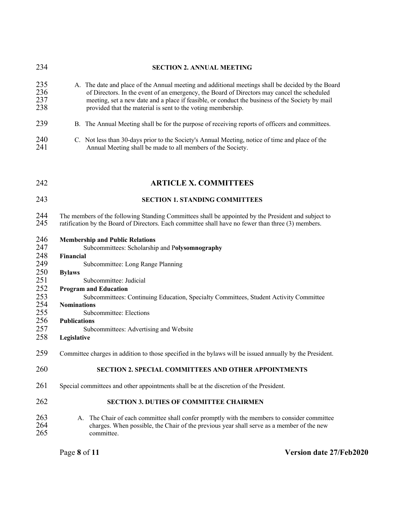| 234                                                                                     | <b>SECTION 2. ANNUAL MEETING</b>                                                                                                                                                                                                                                                                                                                                                                                                                |
|-----------------------------------------------------------------------------------------|-------------------------------------------------------------------------------------------------------------------------------------------------------------------------------------------------------------------------------------------------------------------------------------------------------------------------------------------------------------------------------------------------------------------------------------------------|
| 235<br>236<br>237<br>238                                                                | A. The date and place of the Annual meeting and additional meetings shall be decided by the Board<br>of Directors. In the event of an emergency, the Board of Directors may cancel the scheduled<br>meeting, set a new date and a place if feasible, or conduct the business of the Society by mail<br>provided that the material is sent to the voting membership.                                                                             |
| 239                                                                                     | B. The Annual Meeting shall be for the purpose of receiving reports of officers and committees.                                                                                                                                                                                                                                                                                                                                                 |
| 240<br>241                                                                              | C. Not less than 30-days prior to the Society's Annual Meeting, notice of time and place of the<br>Annual Meeting shall be made to all members of the Society.                                                                                                                                                                                                                                                                                  |
| 242                                                                                     | <b>ARTICLE X. COMMITTEES</b>                                                                                                                                                                                                                                                                                                                                                                                                                    |
| 243                                                                                     | <b>SECTION 1. STANDING COMMITTEES</b>                                                                                                                                                                                                                                                                                                                                                                                                           |
| 244<br>245                                                                              | The members of the following Standing Committees shall be appointed by the President and subject to<br>ratification by the Board of Directors. Each committee shall have no fewer than three (3) members.                                                                                                                                                                                                                                       |
| 246<br>247<br>248<br>249<br>250<br>251<br>252<br>253<br>254<br>255<br>256<br>257<br>258 | <b>Membership and Public Relations</b><br>Subcommittees: Scholarship and Polysomnography<br>Financial<br>Subcommittee: Long Range Planning<br><b>Bylaws</b><br>Subcommittee: Judicial<br><b>Program and Education</b><br>Subcommittees: Continuing Education, Specialty Committees, Student Activity Committee<br><b>Nominations</b><br>Subcommittee: Elections<br><b>Publications</b><br>Subcommittees: Advertising and Website<br>Legislative |
| 259                                                                                     | Committee charges in addition to those specified in the bylaws will be issued annually by the President.                                                                                                                                                                                                                                                                                                                                        |
| 260                                                                                     | <b>SECTION 2. SPECIAL COMMITTEES AND OTHER APPOINTMENTS</b>                                                                                                                                                                                                                                                                                                                                                                                     |
| 261                                                                                     | Special committees and other appointments shall be at the discretion of the President.                                                                                                                                                                                                                                                                                                                                                          |
| 262                                                                                     | <b>SECTION 3. DUTIES OF COMMITTEE CHAIRMEN</b>                                                                                                                                                                                                                                                                                                                                                                                                  |
| 263<br>264<br>265                                                                       | The Chair of each committee shall confer promptly with the members to consider committee<br>А.<br>charges. When possible, the Chair of the previous year shall serve as a member of the new<br>committee.                                                                                                                                                                                                                                       |

Page **8** of **11 Version date 27/Feb2020**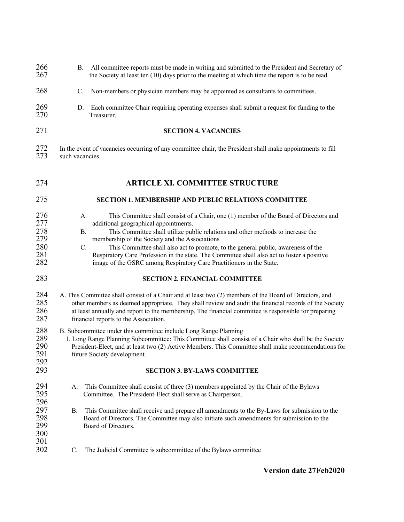| 266<br>267                                    | B.              | All committee reports must be made in writing and submitted to the President and Secretary of<br>the Society at least ten $(10)$ days prior to the meeting at which time the report is to be read.                                                                                                                                                                                                                                                                                                                                                                   |
|-----------------------------------------------|-----------------|----------------------------------------------------------------------------------------------------------------------------------------------------------------------------------------------------------------------------------------------------------------------------------------------------------------------------------------------------------------------------------------------------------------------------------------------------------------------------------------------------------------------------------------------------------------------|
| 268                                           | C.              | Non-members or physician members may be appointed as consultants to committees.                                                                                                                                                                                                                                                                                                                                                                                                                                                                                      |
| 269<br>270                                    | D.              | Each committee Chair requiring operating expenses shall submit a request for funding to the<br>Treasurer.                                                                                                                                                                                                                                                                                                                                                                                                                                                            |
| 271                                           |                 | <b>SECTION 4. VACANCIES</b>                                                                                                                                                                                                                                                                                                                                                                                                                                                                                                                                          |
| 272<br>273                                    | such vacancies. | In the event of vacancies occurring of any committee chair, the President shall make appointments to fill                                                                                                                                                                                                                                                                                                                                                                                                                                                            |
| 274                                           |                 | <b>ARTICLE XI. COMMITTEE STRUCTURE</b>                                                                                                                                                                                                                                                                                                                                                                                                                                                                                                                               |
| 275                                           |                 | <b>SECTION 1. MEMBERSHIP AND PUBLIC RELATIONS COMMITTEE</b>                                                                                                                                                                                                                                                                                                                                                                                                                                                                                                          |
| 276<br>277<br>278<br>279<br>280<br>281<br>282 |                 | A.<br>This Committee shall consist of a Chair, one (1) member of the Board of Directors and<br>additional geographical appointments.<br>This Committee shall utilize public relations and other methods to increase the<br><b>B.</b><br>membership of the Society and the Associations<br>This Committee shall also act to promote, to the general public, awareness of the<br>$\mathbf{C}$ .<br>Respiratory Care Profession in the state. The Committee shall also act to foster a positive<br>image of the GSRC among Respiratory Care Practitioners in the State. |
| 283                                           |                 | <b>SECTION 2. FINANCIAL COMMITTEE</b>                                                                                                                                                                                                                                                                                                                                                                                                                                                                                                                                |
| 284<br>285<br>286<br>287                      |                 | A. This Committee shall consist of a Chair and at least two (2) members of the Board of Directors, and<br>other members as deemed appropriate. They shall review and audit the financial records of the Society<br>at least annually and report to the membership. The financial committee is responsible for preparing<br>financial reports to the Association.                                                                                                                                                                                                     |
| 288<br>289<br>290<br>291<br>292               |                 | B. Subcommittee under this committee include Long Range Planning<br>1. Long Range Planning Subcommittee: This Committee shall consist of a Chair who shall be the Society<br>President-Elect, and at least two (2) Active Members. This Committee shall make recommendations for<br>future Society development.                                                                                                                                                                                                                                                      |
| 293                                           |                 | <b>SECTION 3. BY-LAWS COMMITTEE</b>                                                                                                                                                                                                                                                                                                                                                                                                                                                                                                                                  |
| 294<br>295<br>296                             | A.              | This Committee shall consist of three (3) members appointed by the Chair of the Bylaws<br>Committee. The President-Elect shall serve as Chairperson.                                                                                                                                                                                                                                                                                                                                                                                                                 |
| 297<br>298<br>299<br>300<br>301               | В.              | This Committee shall receive and prepare all amendments to the By-Laws for submission to the<br>Board of Directors. The Committee may also initiate such amendments for submission to the<br>Board of Directors.                                                                                                                                                                                                                                                                                                                                                     |
| 302                                           | C.              | The Judicial Committee is subcommittee of the Bylaws committee                                                                                                                                                                                                                                                                                                                                                                                                                                                                                                       |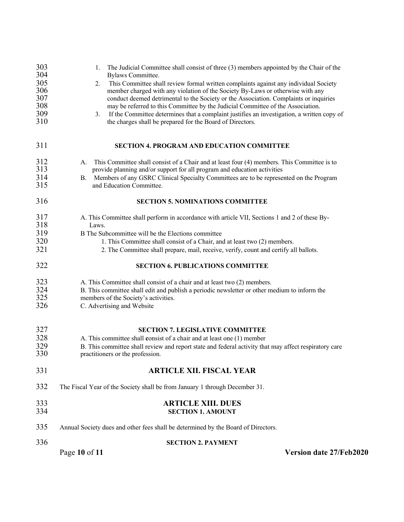| 303<br>304               | 1. The Judicial Committee shall consist of three (3) members appointed by the Chair of the<br>Bylaws Committee.                                                                                                                                                       |
|--------------------------|-----------------------------------------------------------------------------------------------------------------------------------------------------------------------------------------------------------------------------------------------------------------------|
| 305<br>306<br>307        | This Committee shall review formal written complaints against any individual Society<br>2.<br>member charged with any violation of the Society By-Laws or otherwise with any<br>conduct deemed detrimental to the Society or the Association. Complaints or inquiries |
| 308                      | may be referred to this Committee by the Judicial Committee of the Association.                                                                                                                                                                                       |
| 309<br>310               | If the Committee determines that a complaint justifies an investigation, a written copy of<br>3.<br>the charges shall be prepared for the Board of Directors.                                                                                                         |
| 311                      | <b>SECTION 4. PROGRAM AND EDUCATION COMMITTEE</b>                                                                                                                                                                                                                     |
| 312<br>313               | This Committee shall consist of a Chair and at least four (4) members. This Committee is to<br>А.<br>provide planning and/or support for all program and education activities                                                                                         |
| 314<br>315               | Members of any GSRC Clinical Specialty Committees are to be represented on the Program<br>В.<br>and Education Committee.                                                                                                                                              |
| 316                      | <b>SECTION 5. NOMINATIONS COMMITTEE</b>                                                                                                                                                                                                                               |
| 317<br>318               | A. This Committee shall perform in accordance with article VII, Sections 1 and 2 of these By-<br>Laws.                                                                                                                                                                |
| 319<br>320               | B The Subcommittee will be the Elections committee                                                                                                                                                                                                                    |
| 321                      | 1. This Committee shall consist of a Chair, and at least two (2) members.<br>2. The Committee shall prepare, mail, receive, verify, count and certify all ballots.                                                                                                    |
| 322                      | <b>SECTION 6. PUBLICATIONS COMMITTEE</b>                                                                                                                                                                                                                              |
| 323<br>324<br>325<br>326 | A. This Committee shall consist of a chair and at least two (2) members.<br>B. This committee shall edit and publish a periodic newsletter or other medium to inform the<br>members of the Society's activities.<br>C. Advertising and Website                        |
| 327<br>328<br>329<br>330 | <b>SECTION 7. LEGISLATIVE COMMITTEE</b><br>A. This committee shall consist of a chair and at least one (1) member<br>B. This committee shall review and report state and federal activity that may affect respiratory care<br>practitioners or the profession.        |
| 331                      | <b>ARTICLE XII. FISCAL YEAR</b>                                                                                                                                                                                                                                       |
| 332                      | The Fiscal Year of the Society shall be from January 1 through December 31.                                                                                                                                                                                           |
| 333<br>334               | <b>ARTICLE XIII. DUES</b><br><b>SECTION 1. AMOUNT</b>                                                                                                                                                                                                                 |
| 335                      | Annual Society dues and other fees shall be determined by the Board of Directors.                                                                                                                                                                                     |
| 336                      | <b>SECTION 2. PAYMENT</b>                                                                                                                                                                                                                                             |
|                          | Page 10 of 11<br>Version date 27/Feb2020                                                                                                                                                                                                                              |